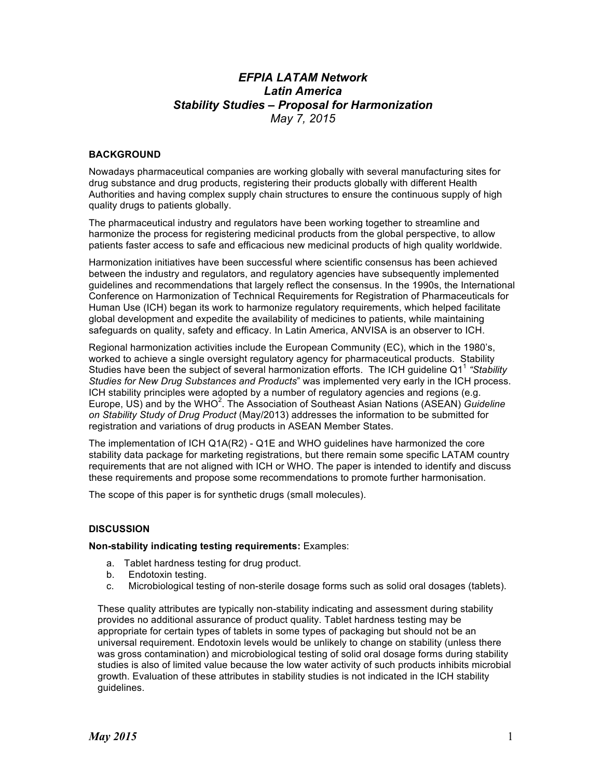# *EFPIA LATAM Network Latin America Stability Studies – Proposal for Harmonization May 7, 2015*

### **BACKGROUND**

Nowadays pharmaceutical companies are working globally with several manufacturing sites for drug substance and drug products, registering their products globally with different Health Authorities and having complex supply chain structures to ensure the continuous supply of high quality drugs to patients globally.

The pharmaceutical industry and regulators have been working together to streamline and harmonize the process for registering medicinal products from the global perspective, to allow patients faster access to safe and efficacious new medicinal products of high quality worldwide.

Harmonization initiatives have been successful where scientific consensus has been achieved between the industry and regulators, and regulatory agencies have subsequently implemented guidelines and recommendations that largely reflect the consensus. In the 1990s, the International Conference on Harmonization of Technical Requirements for Registration of Pharmaceuticals for Human Use (ICH) began its work to harmonize regulatory requirements, which helped facilitate global development and expedite the availability of medicines to patients, while maintaining safeguards on quality, safety and efficacy. In Latin America, ANVISA is an observer to ICH.

Regional harmonization activities include the European Community (EC), which in the 1980's, worked to achieve a single oversight regulatory agency for pharmaceutical products. Stability Studies have been the subject of several harmonization efforts. The ICH guideline Q1<sup>1</sup> *"Stability Studies for New Drug Substances and Products*" was implemented very early in the ICH process. ICH stability principles were adopted by a number of regulatory agencies and regions (e.g. Europe, US) and by the WHO<sup>2</sup>. The Association of Southeast Asian Nations (ASEAN) *Guideline on Stability Study of Drug Product* (May/2013) addresses the information to be submitted for registration and variations of drug products in ASEAN Member States.

The implementation of ICH Q1A(R2) - Q1E and WHO guidelines have harmonized the core stability data package for marketing registrations, but there remain some specific LATAM country requirements that are not aligned with ICH or WHO. The paper is intended to identify and discuss these requirements and propose some recommendations to promote further harmonisation.

The scope of this paper is for synthetic drugs (small molecules).

#### **DISCUSSION**

**Non-stability indicating testing requirements:** Examples:

- a. Tablet hardness testing for drug product.
- b. Endotoxin testing.
- c. Microbiological testing of non-sterile dosage forms such as solid oral dosages (tablets).

These quality attributes are typically non-stability indicating and assessment during stability provides no additional assurance of product quality. Tablet hardness testing may be appropriate for certain types of tablets in some types of packaging but should not be an universal requirement. Endotoxin levels would be unlikely to change on stability (unless there was gross contamination) and microbiological testing of solid oral dosage forms during stability studies is also of limited value because the low water activity of such products inhibits microbial growth. Evaluation of these attributes in stability studies is not indicated in the ICH stability guidelines.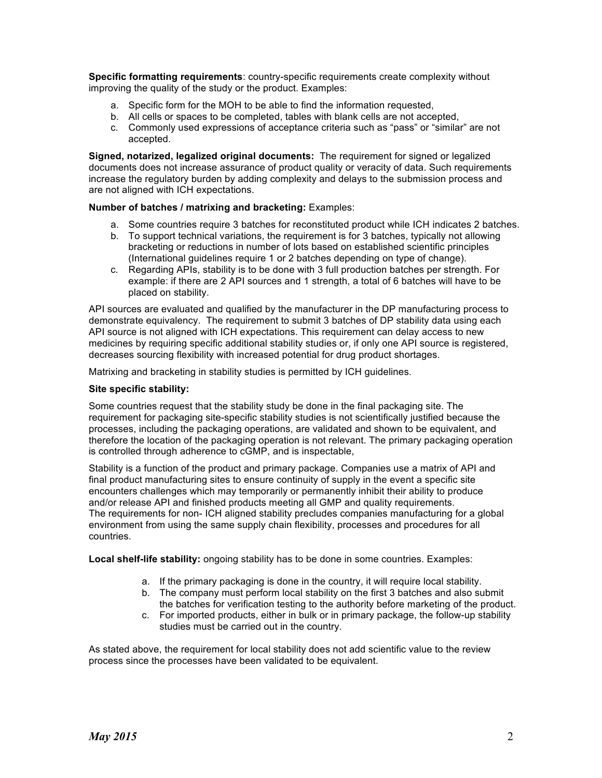**Specific formatting requirements**: country-specific requirements create complexity without improving the quality of the study or the product. Examples:

- a. Specific form for the MOH to be able to find the information requested,
- b. All cells or spaces to be completed, tables with blank cells are not accepted,
- c. Commonly used expressions of acceptance criteria such as "pass" or "similar" are not accepted.

**Signed, notarized, legalized original documents:** The requirement for signed or legalized documents does not increase assurance of product quality or veracity of data. Such requirements increase the regulatory burden by adding complexity and delays to the submission process and are not aligned with ICH expectations.

## **Number of batches / matrixing and bracketing:** Examples:

- a. Some countries require 3 batches for reconstituted product while ICH indicates 2 batches.
- b. To support technical variations, the requirement is for 3 batches, typically not allowing bracketing or reductions in number of lots based on established scientific principles (International guidelines require 1 or 2 batches depending on type of change).
- c. Regarding APIs, stability is to be done with 3 full production batches per strength. For example: if there are 2 API sources and 1 strength, a total of 6 batches will have to be placed on stability.

API sources are evaluated and qualified by the manufacturer in the DP manufacturing process to demonstrate equivalency. The requirement to submit 3 batches of DP stability data using each API source is not aligned with ICH expectations. This requirement can delay access to new medicines by requiring specific additional stability studies or, if only one API source is registered, decreases sourcing flexibility with increased potential for drug product shortages.

Matrixing and bracketing in stability studies is permitted by ICH guidelines.

#### **Site specific stability:**

Some countries request that the stability study be done in the final packaging site. The requirement for packaging site-specific stability studies is not scientifically justified because the processes, including the packaging operations, are validated and shown to be equivalent, and therefore the location of the packaging operation is not relevant. The primary packaging operation is controlled through adherence to cGMP, and is inspectable,

Stability is a function of the product and primary package. Companies use a matrix of API and final product manufacturing sites to ensure continuity of supply in the event a specific site encounters challenges which may temporarily or permanently inhibit their ability to produce and/or release API and finished products meeting all GMP and quality requirements. The requirements for non- ICH aligned stability precludes companies manufacturing for a global environment from using the same supply chain flexibility, processes and procedures for all countries.

**Local shelf-life stability:** ongoing stability has to be done in some countries. Examples:

- a. If the primary packaging is done in the country, it will require local stability.
- b. The company must perform local stability on the first 3 batches and also submit the batches for verification testing to the authority before marketing of the product.
- c. For imported products, either in bulk or in primary package, the follow-up stability studies must be carried out in the country.

As stated above, the requirement for local stability does not add scientific value to the review process since the processes have been validated to be equivalent.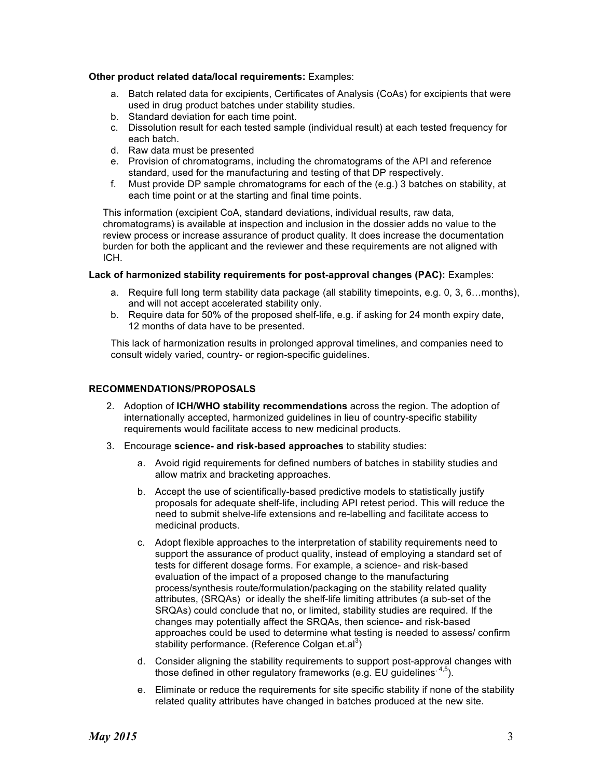#### **Other product related data/local requirements:** Examples:

- a. Batch related data for excipients, Certificates of Analysis (CoAs) for excipients that were used in drug product batches under stability studies.
- b. Standard deviation for each time point.
- c. Dissolution result for each tested sample (individual result) at each tested frequency for each batch.
- d. Raw data must be presented
- e. Provision of chromatograms, including the chromatograms of the API and reference standard, used for the manufacturing and testing of that DP respectively.
- f. Must provide DP sample chromatograms for each of the (e.g.) 3 batches on stability, at each time point or at the starting and final time points.

This information (excipient CoA, standard deviations, individual results, raw data, chromatograms) is available at inspection and inclusion in the dossier adds no value to the review process or increase assurance of product quality. It does increase the documentation burden for both the applicant and the reviewer and these requirements are not aligned with ICH.

#### **Lack of harmonized stability requirements for post-approval changes (PAC):** Examples:

- a. Require full long term stability data package (all stability timepoints, e.g. 0, 3, 6…months), and will not accept accelerated stability only.
- b. Require data for 50% of the proposed shelf-life, e.g. if asking for 24 month expiry date, 12 months of data have to be presented.

This lack of harmonization results in prolonged approval timelines, and companies need to consult widely varied, country- or region-specific guidelines.

## **RECOMMENDATIONS/PROPOSALS**

- 2. Adoption of **ICH/WHO stability recommendations** across the region. The adoption of internationally accepted, harmonized guidelines in lieu of country-specific stability requirements would facilitate access to new medicinal products.
- 3. Encourage **science- and risk-based approaches** to stability studies:
	- a. Avoid rigid requirements for defined numbers of batches in stability studies and allow matrix and bracketing approaches.
	- b. Accept the use of scientifically-based predictive models to statistically justify proposals for adequate shelf-life, including API retest period. This will reduce the need to submit shelve-life extensions and re-labelling and facilitate access to medicinal products.
	- c. Adopt flexible approaches to the interpretation of stability requirements need to support the assurance of product quality, instead of employing a standard set of tests for different dosage forms. For example, a science- and risk-based evaluation of the impact of a proposed change to the manufacturing process/synthesis route/formulation/packaging on the stability related quality attributes, (SRQAs) or ideally the shelf-life limiting attributes (a sub-set of the SRQAs) could conclude that no, or limited, stability studies are required. If the changes may potentially affect the SRQAs, then science- and risk-based approaches could be used to determine what testing is needed to assess/ confirm stability performance. (Reference Colgan et.al<sup>3</sup>)
	- d. Consider aligning the stability requirements to support post-approval changes with those defined in other regulatory frameworks (e.g. EU guidelines  $4.5$ ).
	- e. Eliminate or reduce the requirements for site specific stability if none of the stability related quality attributes have changed in batches produced at the new site.